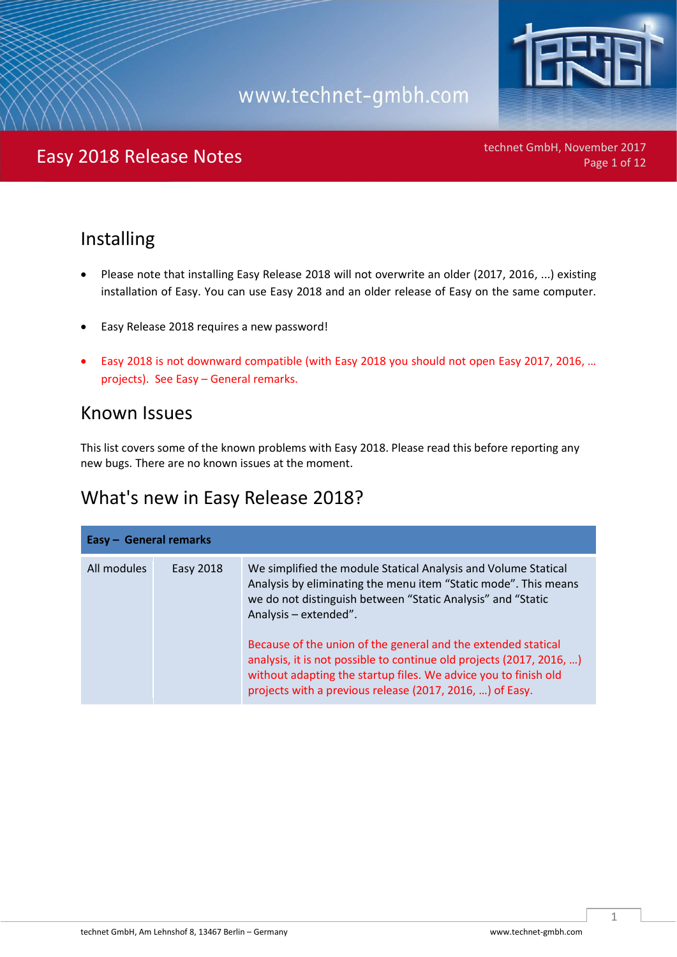

technet GmbH, November 2017<br>Page 1 of 12

### Installing

- Please note that installing Easy Release 2018 will not overwrite an older (2017, 2016, ...) existing installation of Easy. You can use Easy 2018 and an older release of Easy on the same computer.
- Easy Release 2018 requires a new password!
- Easy 2018 is not downward compatible (with Easy 2018 you should not open Easy 2017, 2016, … projects). See Easy – General remarks.

### Known Issues

This list covers some of the known problems with Easy 2018. Please read this before reporting any new bugs. There are no known issues at the moment.

### What's new in Easy Release 2018?

| Easy - General remarks |           |                                                                                                                                                                                                                                                                                                                                                                                                                                                                                                   |
|------------------------|-----------|---------------------------------------------------------------------------------------------------------------------------------------------------------------------------------------------------------------------------------------------------------------------------------------------------------------------------------------------------------------------------------------------------------------------------------------------------------------------------------------------------|
| All modules            | Easy 2018 | We simplified the module Statical Analysis and Volume Statical<br>Analysis by eliminating the menu item "Static mode". This means<br>we do not distinguish between "Static Analysis" and "Static<br>Analysis - extended".<br>Because of the union of the general and the extended statical<br>analysis, it is not possible to continue old projects (2017, 2016, )<br>without adapting the startup files. We advice you to finish old<br>projects with a previous release (2017, 2016, ) of Easy. |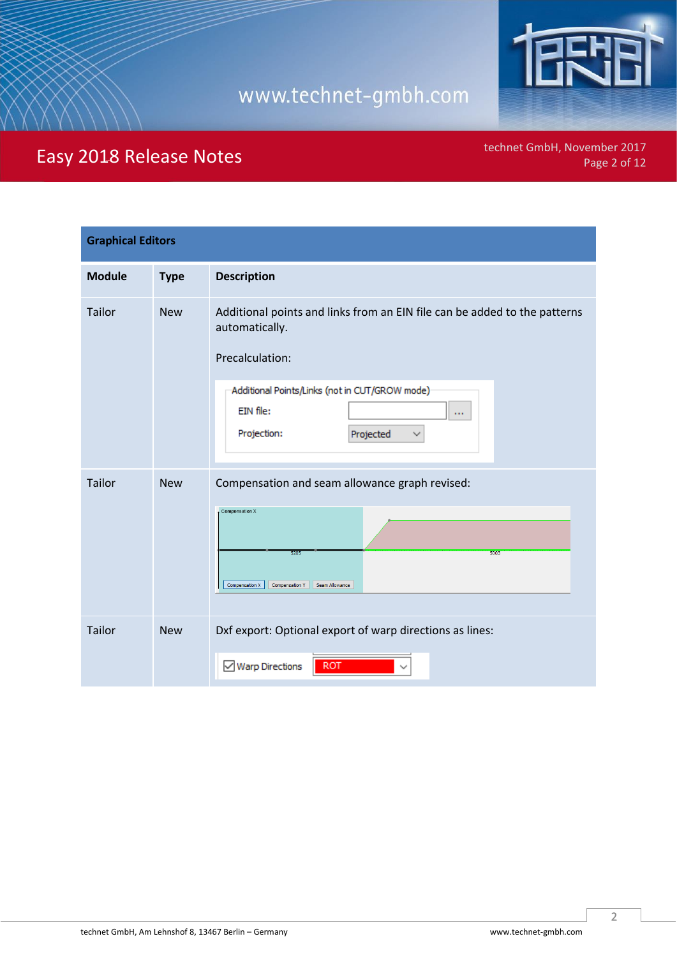

technet GmbH, November 2017<br>Page 2 of 12

| <b>Graphical Editors</b> |             |                                                                                                                                                                                                                              |
|--------------------------|-------------|------------------------------------------------------------------------------------------------------------------------------------------------------------------------------------------------------------------------------|
| <b>Module</b>            | <b>Type</b> | <b>Description</b>                                                                                                                                                                                                           |
| Tailor                   | <b>New</b>  | Additional points and links from an EIN file can be added to the patterns<br>automatically.<br>Precalculation:<br>Additional Points/Links (not in CUT/GROW mode)<br>EIN file:<br><b>COL</b><br>Projection:<br>Projected<br>∨ |
| <b>Tailor</b>            | <b>New</b>  | Compensation and seam allowance graph revised:<br>Compensation X<br>5205<br>5003<br>Compensation X<br><b>Compensation Y</b><br>Seam Allowance                                                                                |
| <b>Tailor</b>            | <b>New</b>  | Dxf export: Optional export of warp directions as lines:<br><b>ROT</b><br>$\vee$ Warp Directions                                                                                                                             |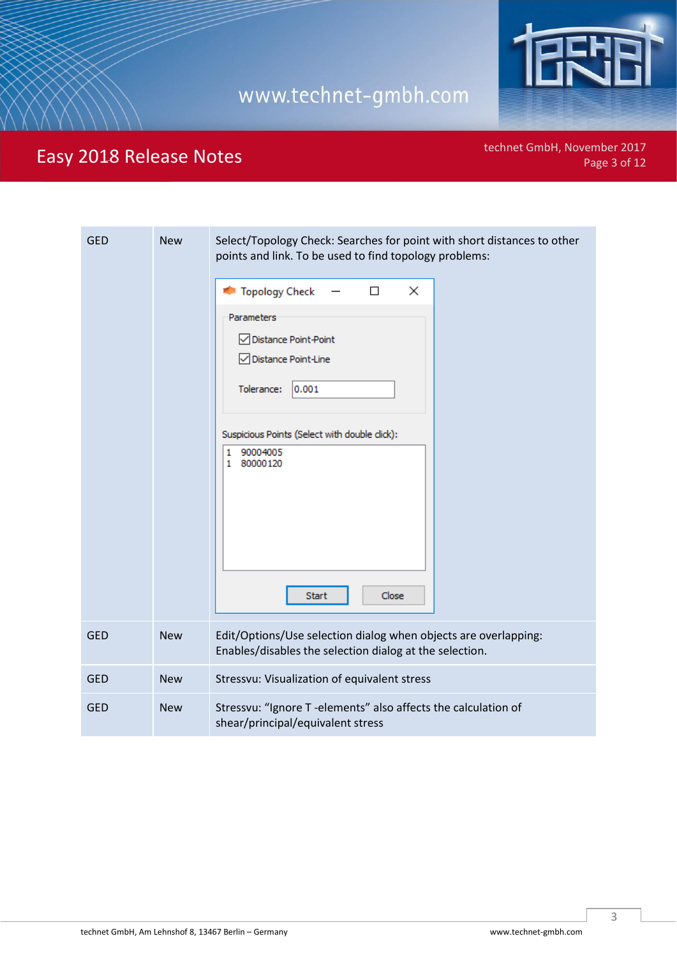

technet GmbH, November 2017<br>Page 3 of 12

| <b>GED</b> | <b>New</b> | Select/Topology Check: Searches for point with short distances to other<br>points and link. To be used to find topology problems:<br>Topology Check<br>□<br>$\times$<br>Parameters<br>○ Distance Point-Point<br>□ Distance Point-Line<br>Tolerance:<br>0.001 |
|------------|------------|--------------------------------------------------------------------------------------------------------------------------------------------------------------------------------------------------------------------------------------------------------------|
|            |            | Suspicious Points (Select with double click):<br>90004005<br>1<br>80000120<br>1<br>Start<br>Close                                                                                                                                                            |
| <b>GED</b> | <b>New</b> | Edit/Options/Use selection dialog when objects are overlapping:<br>Enables/disables the selection dialog at the selection.                                                                                                                                   |
| <b>GED</b> | <b>New</b> | Stressvu: Visualization of equivalent stress                                                                                                                                                                                                                 |
| <b>GED</b> | <b>New</b> | Stressvu: "Ignore T -elements" also affects the calculation of<br>shear/principal/equivalent stress                                                                                                                                                          |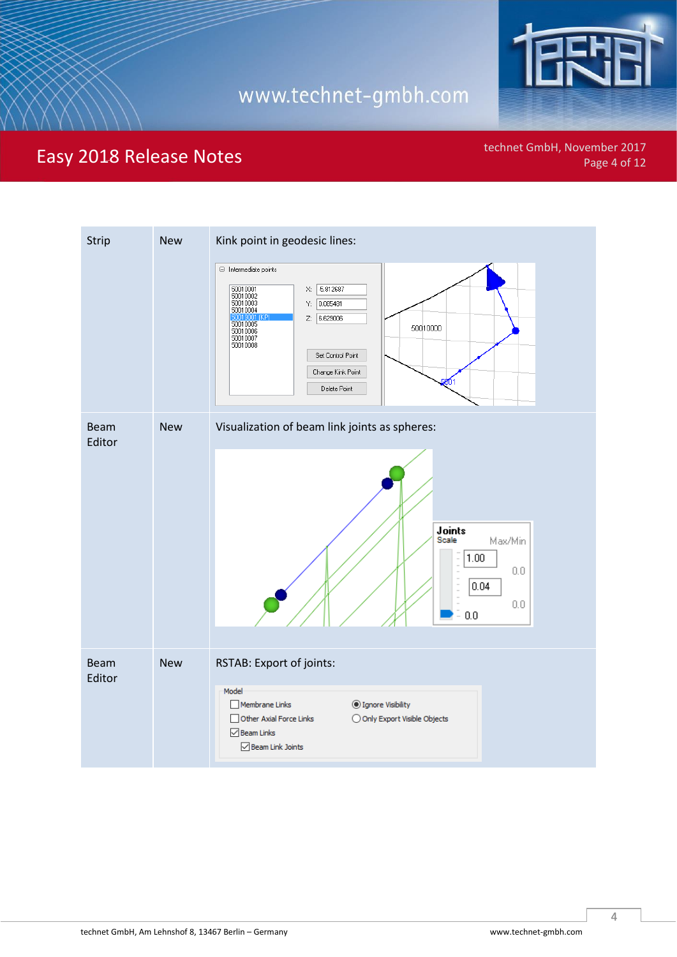

Easy 2018 Release Notes **Easy 2018** Release Notes **Page 4 of 12** 

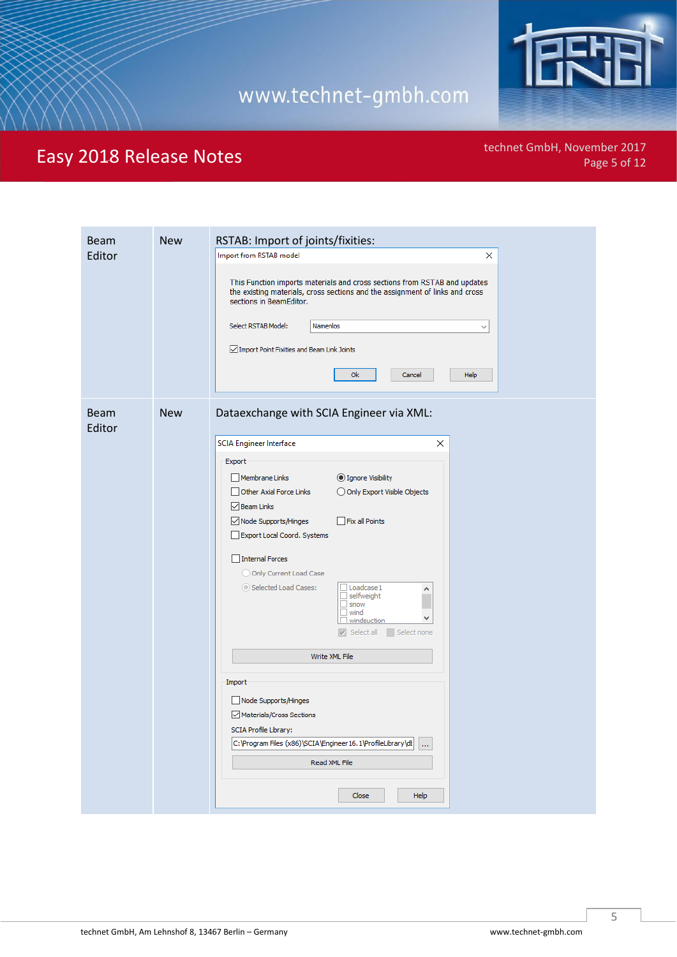

technet GmbH, November 2017<br>Page 5 of 12

| <b>Beam</b><br>Editor | <b>New</b> | RSTAB: Import of joints/fixities:<br>Import from RSTAB model<br>×<br>This Function imports materials and cross sections from RSTAB and updates<br>the existing materials, cross sections and the assignment of links and cross<br>sections in BeamEditor.<br>Select RSTAB Model:<br><b>Namenlos</b><br>$\checkmark$<br>○ Import Point Fixities and Beam Link Joints<br><b>Ok</b><br>Help<br>Cancel                                                                                                                                                                                                                                                                                                                               |
|-----------------------|------------|----------------------------------------------------------------------------------------------------------------------------------------------------------------------------------------------------------------------------------------------------------------------------------------------------------------------------------------------------------------------------------------------------------------------------------------------------------------------------------------------------------------------------------------------------------------------------------------------------------------------------------------------------------------------------------------------------------------------------------|
| <b>Beam</b><br>Editor | <b>New</b> | Dataexchange with SCIA Engineer via XML:<br><b>SCIA Engineer Interface</b><br>×<br>Export<br>Membrane Links<br>◎ Ignore Visibility<br>Other Axial Force Links<br>O Only Export Visible Objects<br>$\sqrt{\phantom{a}}$ Beam Links<br>√ Node Supports/Hinges<br>Fix all Points<br>Export Local Coord. Systems<br>Internal Forces<br>O Only Current Load Case<br>Selected Load Cases:<br>$\Box$ Loadcase 1<br>۸<br>□ selfweight<br>□ snow<br>□ wind<br>□ wind<br>v<br>$\Box$ windsuction<br>V Select all Select none<br>Write XML File<br>Import<br>Node Supports/Hinges<br>Materials/Cross Sections<br>SCIA Profile Library:<br>C:\Program Files (x86)\SCIA\Engineer 16.1\ProfileLibrary\dl<br><br>Read XML File<br>Close<br>Help |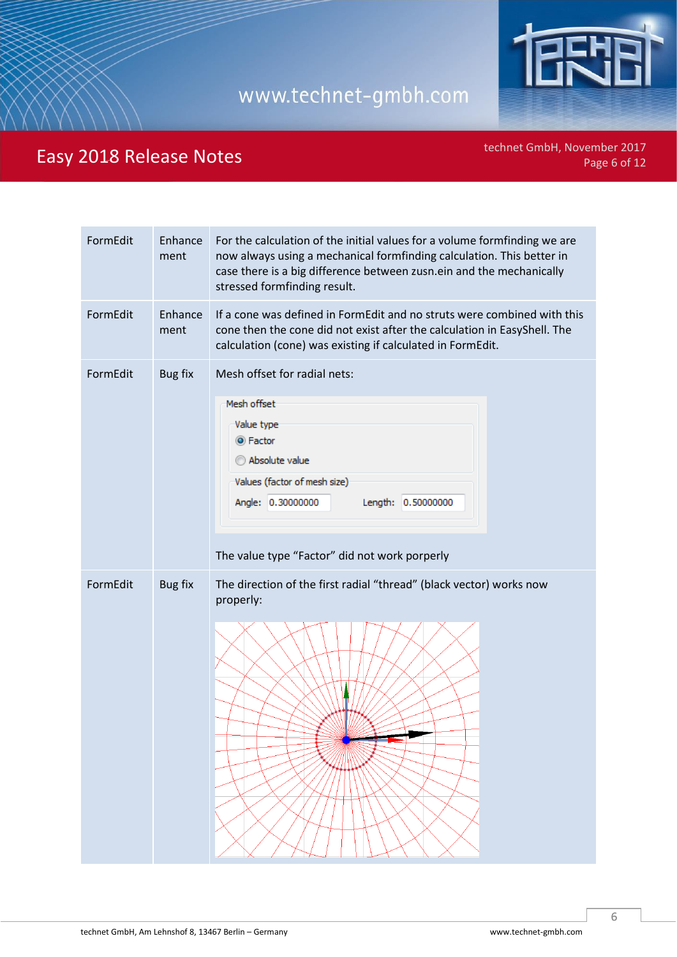

technet GmbH, November 2017<br>Page 6 of 12

| FormEdit | Enhance<br>ment | For the calculation of the initial values for a volume formfinding we are<br>now always using a mechanical formfinding calculation. This better in<br>case there is a big difference between zusn.ein and the mechanically<br>stressed formfinding result. |
|----------|-----------------|------------------------------------------------------------------------------------------------------------------------------------------------------------------------------------------------------------------------------------------------------------|
| FormEdit | Enhance<br>ment | If a cone was defined in FormEdit and no struts were combined with this<br>cone then the cone did not exist after the calculation in EasyShell. The<br>calculation (cone) was existing if calculated in FormEdit.                                          |
| FormEdit | Bug fix         | Mesh offset for radial nets:<br>Mesh offset<br>Value type<br>◎ Factor<br>Absolute value<br>Values (factor of mesh size)<br>Angle: 0.30000000<br>Length: 0.50000000<br>The value type "Factor" did not work porperly                                        |
| FormEdit | Bug fix         | The direction of the first radial "thread" (black vector) works now<br>properly:                                                                                                                                                                           |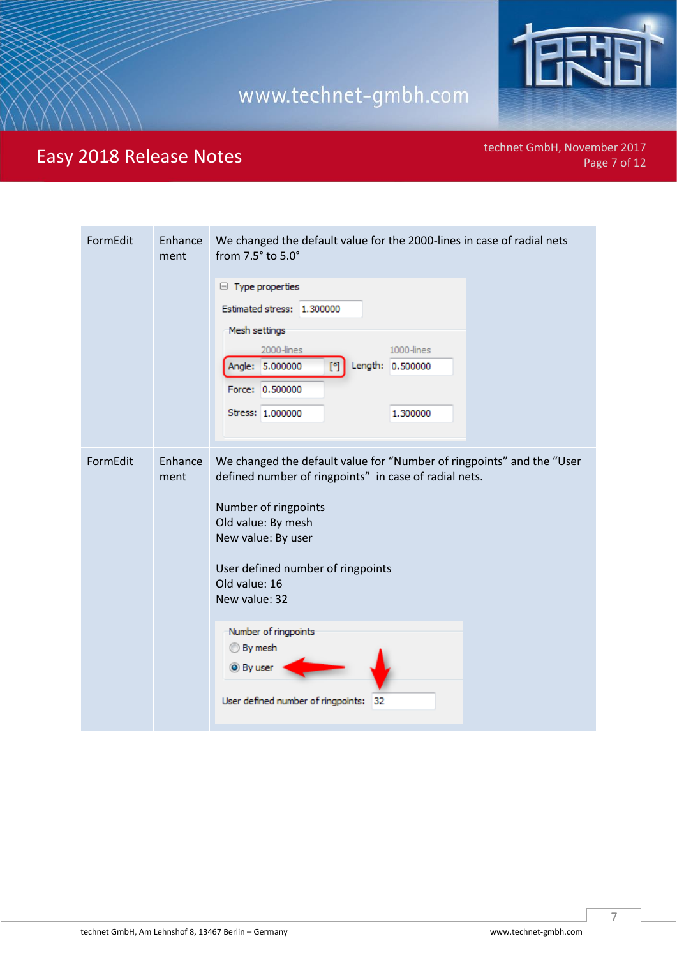

technet GmbH, November 2017<br>Page 7 of 12

| FormEdit | Enhance<br>ment | We changed the default value for the 2000-lines in case of radial nets<br>from 7.5° to 5.0°<br>$\Box$ Type properties<br>Estimated stress: 1.300000<br>Mesh settings<br>2000-lines<br>1000-lines<br>Length: 0.500000<br>Angle: 5.000000<br>[*]<br>Force: 0.500000<br>Stress: 1,000000<br>1,300000 |
|----------|-----------------|---------------------------------------------------------------------------------------------------------------------------------------------------------------------------------------------------------------------------------------------------------------------------------------------------|
| FormEdit | Enhance<br>ment | We changed the default value for "Number of ringpoints" and the "User<br>defined number of ringpoints" in case of radial nets.<br>Number of ringpoints<br>Old value: By mesh<br>New value: By user<br>User defined number of ringpoints<br>Old value: 16<br>New value: 32<br>Number of ringpoints |
|          |                 | <b>By mesh</b><br>◎ By user<br>User defined number of ringpoints:<br>32                                                                                                                                                                                                                           |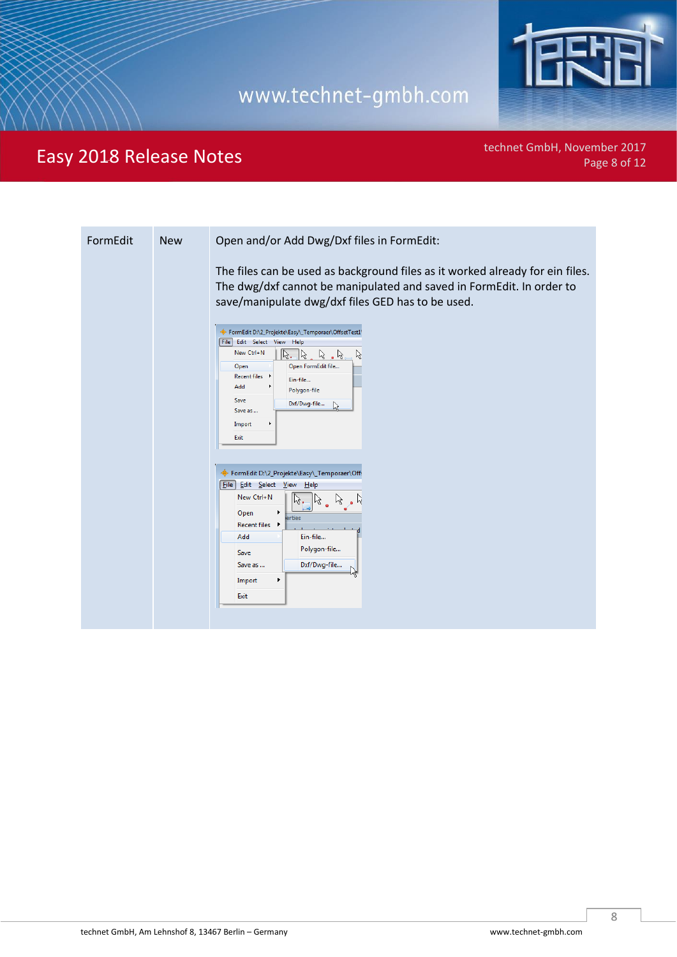

technet GmbH, November 2017<br>Page 8 of 12

| The files can be used as background files as it worked already for ein files.<br>The dwg/dxf cannot be manipulated and saved in FormEdit. In order to<br>save/manipulate dwg/dxf files GED has to be used.<br>FormEdit D:\2_Projekte\Easy\_Temporaer\OffsetTest1\<br>File Edit Select View Help<br>New Ctrl+N<br>$\aleph$<br>lk.<br>  火<br>ん<br>$\overline{\phantom{a}}$<br>Open<br>Open FormEdit file<br><b>Recent files</b> | FormEdit | <b>New</b> | Open and/or Add Dwg/Dxf files in FormEdit: |
|-------------------------------------------------------------------------------------------------------------------------------------------------------------------------------------------------------------------------------------------------------------------------------------------------------------------------------------------------------------------------------------------------------------------------------|----------|------------|--------------------------------------------|
| Add<br>Polygon-file<br>Save<br>Dxf/Dwg-file<br>$\leq$<br>Save as<br>Import<br>Exit<br>FormEdit D:\2_Projekte\Easy\_Temporaer\Off:<br><b>File</b> Edit Select View Help<br>New Ctrl+N<br>Open<br>erties<br><b>Recent files</b><br>٠<br>Add<br>Ein-file<br>Polygon-file<br>Save<br>Dxf/Dwg-file<br>Save as<br>Nς<br>Import<br>Exit                                                                                              |          |            | Ein-file                                   |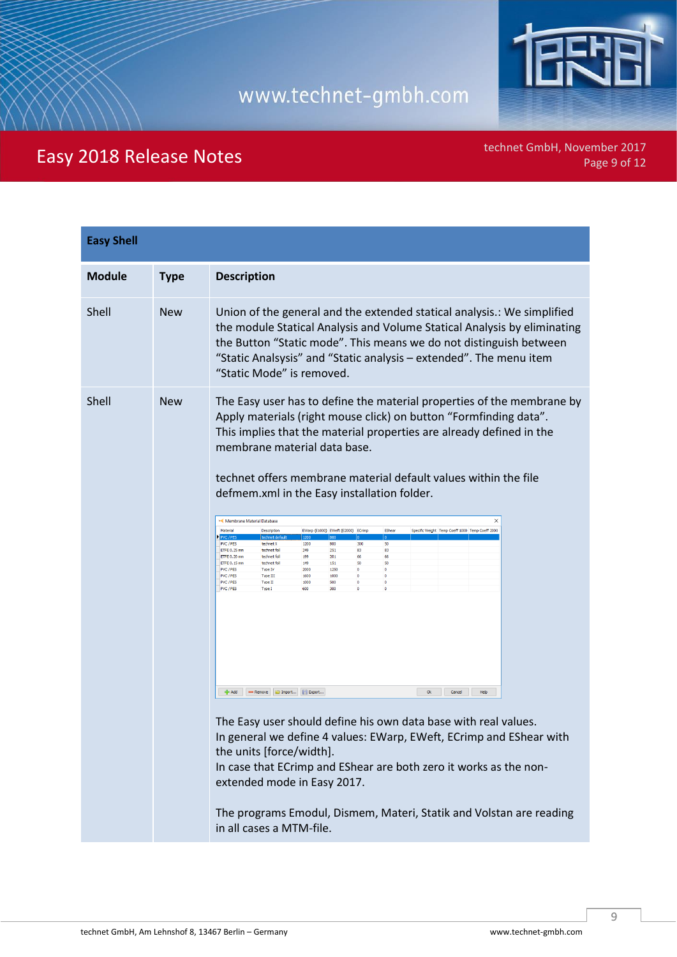

technet GmbH, November 2017<br>Page 9 of 12

| <b>Easy Shell</b> |             |                                                                                                                                                                                                                                                                                                                                                                                                                                                                                                                                                                                                                                                                                                                                                                                                                                                                                                                                                                                                                                                                                                                                                                                                                                                                                                                                                                                                                                                         |
|-------------------|-------------|---------------------------------------------------------------------------------------------------------------------------------------------------------------------------------------------------------------------------------------------------------------------------------------------------------------------------------------------------------------------------------------------------------------------------------------------------------------------------------------------------------------------------------------------------------------------------------------------------------------------------------------------------------------------------------------------------------------------------------------------------------------------------------------------------------------------------------------------------------------------------------------------------------------------------------------------------------------------------------------------------------------------------------------------------------------------------------------------------------------------------------------------------------------------------------------------------------------------------------------------------------------------------------------------------------------------------------------------------------------------------------------------------------------------------------------------------------|
| <b>Module</b>     | <b>Type</b> | <b>Description</b>                                                                                                                                                                                                                                                                                                                                                                                                                                                                                                                                                                                                                                                                                                                                                                                                                                                                                                                                                                                                                                                                                                                                                                                                                                                                                                                                                                                                                                      |
| Shell             | <b>New</b>  | Union of the general and the extended statical analysis.: We simplified<br>the module Statical Analysis and Volume Statical Analysis by eliminating<br>the Button "Static mode". This means we do not distinguish between<br>"Static Analsysis" and "Static analysis - extended". The menu item<br>"Static Mode" is removed.                                                                                                                                                                                                                                                                                                                                                                                                                                                                                                                                                                                                                                                                                                                                                                                                                                                                                                                                                                                                                                                                                                                            |
| Shell             | <b>New</b>  | The Easy user has to define the material properties of the membrane by<br>Apply materials (right mouse click) on button "Formfinding data".<br>This implies that the material properties are already defined in the<br>membrane material data base.<br>technet offers membrane material default values within the file<br>defmem.xml in the Easy installation folder.<br>Membrane Material Database<br>$\times$<br>Material<br>EWarn (E1000) EWeft (E2000) ECrimo<br>EShear<br>Description<br>Specific Weight Temp Coeff 1000 Temp Coeff 2000<br>PVC / PES<br>technet def<br>$ 800\rangle$<br>1200<br>$\overline{10}$<br>10.<br>PVC / PES<br>1200<br>800 11<br>300<br>50<br>technet X<br>251<br>ETFE 0.25 mm<br>technet foil<br>249<br>83<br>83<br>ETFE 0.20 mm<br>technet foil<br>199<br>201<br>66<br>66<br>ETFE 0.15 mm<br>149<br>151<br>50<br>50<br>technet foil<br>PVC / PES<br>2000<br>1250<br>$\circ$<br>$\circ$<br>Type IV<br>1600<br>1000<br>PVC / PES<br>Type III<br>$\circ$<br>$\circ$<br>PVC / PES<br>Type II<br>1000<br>500<br>$\bullet$<br>$\circ$<br>PVC / PES<br>Type I<br>600<br>$\circ$<br>300<br>- Add<br>Remove   Dimport   Export<br>Ok<br>Cancel<br>Help<br>The Easy user should define his own data base with real values.<br>In general we define 4 values: EWarp, EWeft, ECrimp and EShear with<br>the units [force/width].<br>In case that ECrimp and EShear are both zero it works as the non-<br>extended mode in Easy 2017. |
|                   |             | The programs Emodul, Dismem, Materi, Statik and Volstan are reading<br>in all cases a MTM-file.                                                                                                                                                                                                                                                                                                                                                                                                                                                                                                                                                                                                                                                                                                                                                                                                                                                                                                                                                                                                                                                                                                                                                                                                                                                                                                                                                         |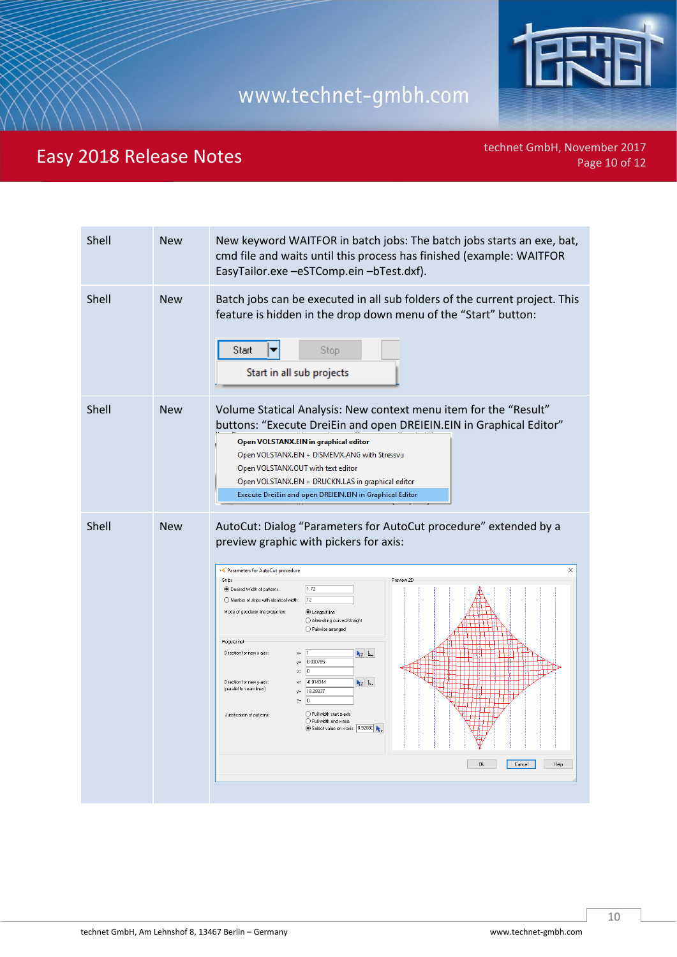

technet GmbH, November 2017<br>Page 10 of 12

| Shell | <b>New</b> | New keyword WAITFOR in batch jobs: The batch jobs starts an exe, bat,<br>cmd file and waits until this process has finished (example: WAITFOR<br>EasyTailor.exe -eSTComp.ein -bTest.dxf).                                                                                                                                                                                                                                                                                                                                                                                                                                                                                                                                                                                                   |
|-------|------------|---------------------------------------------------------------------------------------------------------------------------------------------------------------------------------------------------------------------------------------------------------------------------------------------------------------------------------------------------------------------------------------------------------------------------------------------------------------------------------------------------------------------------------------------------------------------------------------------------------------------------------------------------------------------------------------------------------------------------------------------------------------------------------------------|
| Shell | <b>New</b> | Batch jobs can be executed in all sub folders of the current project. This<br>feature is hidden in the drop down menu of the "Start" button:<br>Start<br>Stop<br>Start in all sub projects                                                                                                                                                                                                                                                                                                                                                                                                                                                                                                                                                                                                  |
| Shell | <b>New</b> | Volume Statical Analysis: New context menu item for the "Result"<br>buttons: "Execute DreiEin and open DREIEIN.EIN in Graphical Editor"<br>Open VOLSTANX.EIN in graphical editor<br>Open VOLSTANX.EIN + DISMEMX.ANG with Stressvu<br>Open VOLSTANX.OUT with text editor<br>Open VOLSTANX.EIN + DRUCKN.LAS in graphical editor<br>Execute DreiEin and open DREIEIN.EIN in Graphical Editor                                                                                                                                                                                                                                                                                                                                                                                                   |
| Shell | <b>New</b> | AutoCut: Dialog "Parameters for AutoCut procedure" extended by a<br>preview graphic with pickers for axis:<br>$\times$<br>>< Parameters for AutoCut procedure<br>Preview 2D<br>Strips<br>1.72<br><sup>1</sup> Desired Width of patterns:<br>12<br>Number of strips with identical width:<br>Mode of geodesic line projection:<br>C Longest line<br>Alternating curved/straight<br>◯ Pairwise arranged<br>Regular net<br>Direction for new x-axis:<br>$k_2$ $k$ .<br>$x =$<br>0.000785<br>$y =$<br>0<br>$z =$<br>Direction for new y-axis:<br>$-0.014344$<br>$k_2$ b.<br>(parallel to seam lines)<br>18.28337<br>$\boxed{0}$<br>$z=$<br>◯ Full width start x-axis<br>Justification of patterns:<br>◯ Full width end x-axis<br>Select value on x-axis: 8.92080<br><b>Ok</b><br>Cancel<br>Help |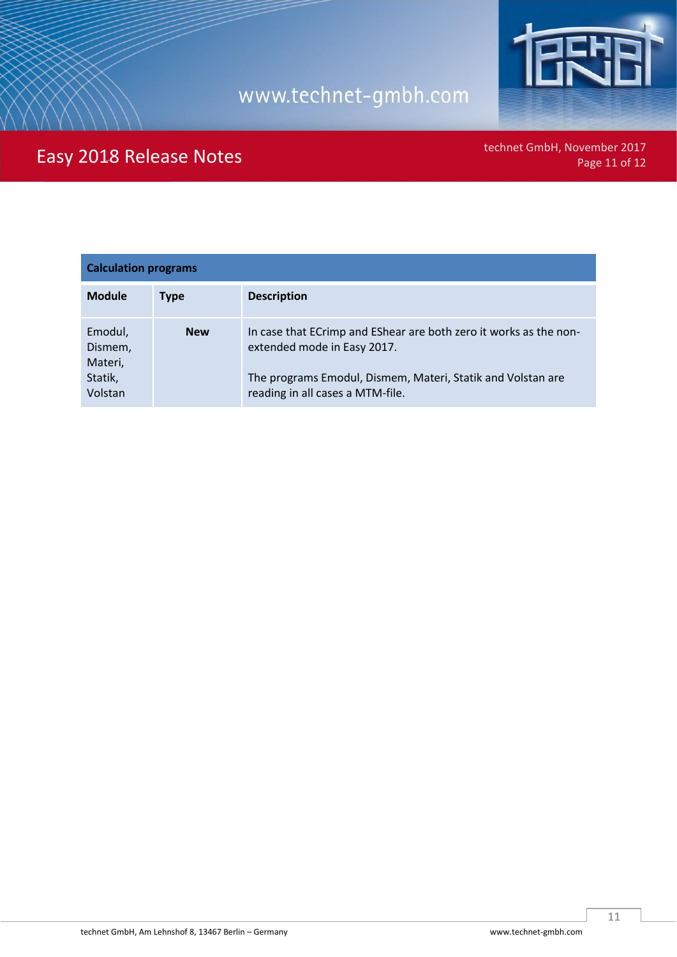

technet GmbH, November 2017<br>Page 11 of 12

| <b>Calculation programs</b>                         |             |                                                                                                                                                                                                     |  |
|-----------------------------------------------------|-------------|-----------------------------------------------------------------------------------------------------------------------------------------------------------------------------------------------------|--|
| <b>Module</b>                                       | <b>Type</b> | <b>Description</b>                                                                                                                                                                                  |  |
| Emodul,<br>Dismem,<br>Materi,<br>Statik,<br>Volstan | <b>New</b>  | In case that ECrimp and EShear are both zero it works as the non-<br>extended mode in Easy 2017.<br>The programs Emodul, Dismem, Materi, Statik and Volstan are<br>reading in all cases a MTM-file. |  |